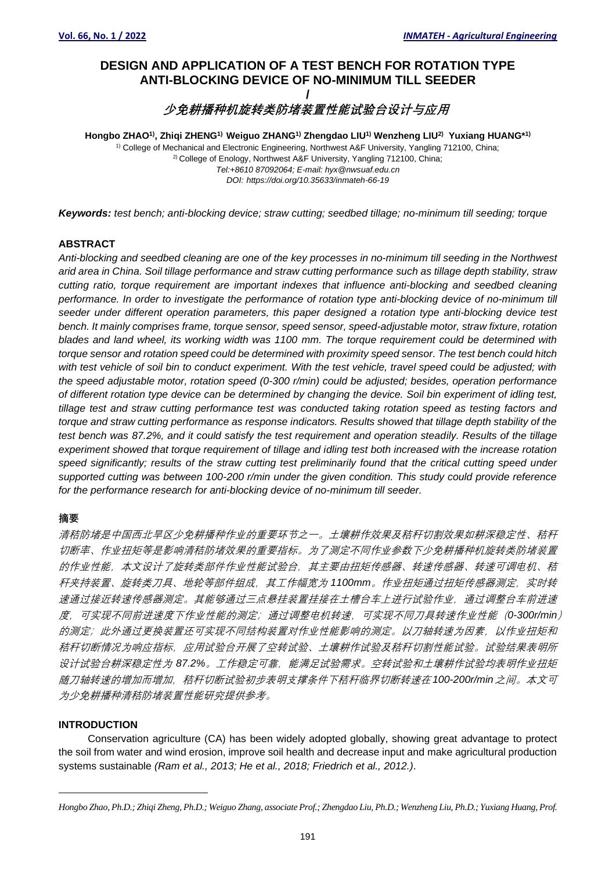# **DESIGN AND APPLICATION OF A TEST BENCH FOR ROTATION TYPE ANTI-BLOCKING DEVICE OF NO-MINIMUM TILL SEEDER /**

**少免耕播种机旋转类防堵装置性能试验台设计与应用***<sup>1</sup>*

**Hongbo ZHAO1) , Zhiqi ZHENG1) Weiguo ZHANG1) Zhengdao LIU1) Wenzheng LIU2) Yuxiang HUANG\* 1)** <sup>1)</sup> College of Mechanical and Electronic Engineering, Northwest A&F University, Yangling 712100, China; <sup>2)</sup> College of Enology, Northwest A&F University, Yangling 712100, China; *[Tel:+8610](tel:+8610) 87092064; E-mail: hyx@nwsuaf.edu.cn DOI: https://doi.org/10.35633/inmateh-66-19*

*Keywords: test bench; anti-blocking device; straw cutting; seedbed tillage; no-minimum till seeding; torque*

# **ABSTRACT**

*Anti-blocking and seedbed cleaning are one of the key processes in no-minimum till seeding in the Northwest arid area in China. Soil tillage performance and straw cutting performance such as tillage depth stability, straw cutting ratio, torque requirement are important indexes that influence anti-blocking and seedbed cleaning performance. In order to investigate the performance of rotation type anti-blocking device of no-minimum till seeder under different operation parameters, this paper designed a rotation type anti-blocking device test bench. It mainly comprises frame, torque sensor, speed sensor, speed-adjustable motor, straw fixture, rotation blades and land wheel, its working width was 1100 mm. The torque requirement could be determined with torque sensor and rotation speed could be determined with proximity speed sensor. The test bench could hitch*  with test vehicle of soil bin to conduct experiment. With the test vehicle, travel speed could be adjusted; with *the speed adjustable motor, rotation speed (0-300 r/min) could be adjusted; besides, operation performance of different rotation type device can be determined by changing the device. Soil bin experiment of idling test, tillage test and straw cutting performance test was conducted taking rotation speed as testing factors and torque and straw cutting performance as response indicators. Results showed that tillage depth stability of the test bench was 87.2%, and it could satisfy the test requirement and operation steadily. Results of the tillage experiment showed that torque requirement of tillage and idling test both increased with the increase rotation*  speed significantly; results of the straw cutting test preliminarily found that the critical cutting speed under *supported cutting was between 100-200 r/min under the given condition. This study could provide reference for the performance research for anti-blocking device of no-minimum till seeder.*

# **摘要**

清秸防堵是中国西北旱区少免耕播种作业的重要环节之一。土壤耕作效果及秸秆切割效果如耕深稳定性、秸秆 切断率、作业扭矩等是影响清秸防堵效果的重要指标。为了测定不同作业参数下少免耕播种机旋转类防堵装置 的作业性能,本文设计了旋转类部件作业性能试验台,其主要由扭矩传感器、转速传感器、转速可调电机、秸 秆夹持装置、旋转类刀具、地轮等部件组成,其工作幅宽为 *1100mm*。作业扭矩通过扭矩传感器测定,实时转 速通过接近转速传感器测定。其能够通过三点悬挂装置挂接在土槽台车上进行试验作业,通过调整台车前进速 度,可实现不同前进速度下作业性能的测定;通过调整电机转速,可实现不同刀具转速作业性能(*0-300r/min*) 的测定;此外通过更换装置还可实现不同结构装置对作业性能影响的测定。以刀轴转速为因素,以作业扭矩和 秸秆切断情况为响应指标,应用试验台开展了空转试验、土壤耕作试验及秸秆切割性能试验。试验结果表明所 设计试验台耕深稳定性为 *87.2%*。工作稳定可靠,能满足试验需求。空转试验和土壤耕作试验均表明作业扭矩 随刀轴转速的增加而增加,秸秆切断试验初步表明支撑条件下秸秆临界切断转速在 *100-200r/min*之间。本文可 为少免耕播种清秸防堵装置性能研究提供参考。

# **INTRODUCTION**

Conservation agriculture (CA) has been widely adopted globally, showing great advantage to protect the soil from water and wind erosion, improve soil health and decrease input and make agricultural production systems sustainable *(Ram et al., 2013; He et al., 2018; Friedrich et al., 2012.)*.

*Hongbo Zhao, Ph.D.; Zhiqi Zheng, Ph.D.; Weiguo Zhang, associate Prof.; Zhengdao Liu, Ph.D.; Wenzheng Liu, Ph.D.; Yuxiang Huang, Prof.*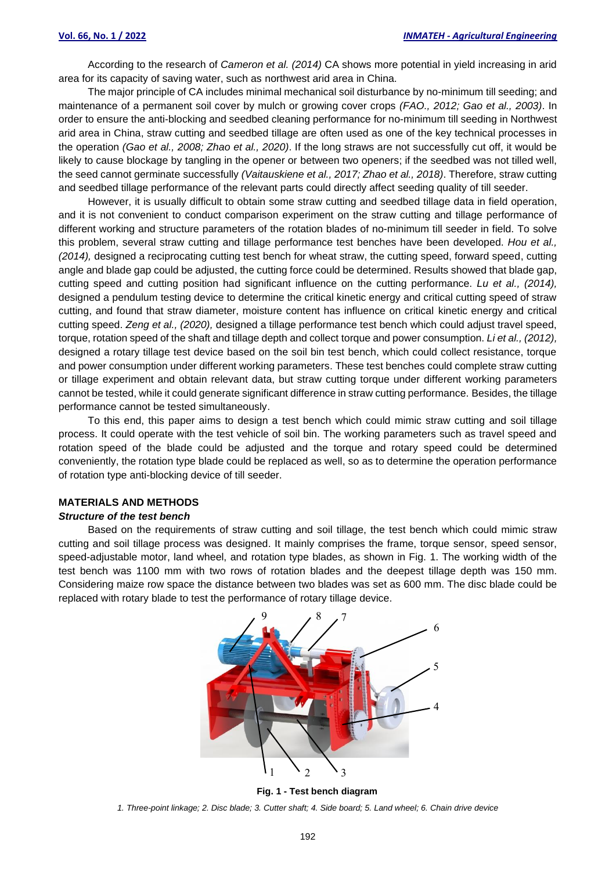According to the research of *Cameron et al. (2014)* CA shows more potential in yield increasing in arid area for its capacity of saving water, such as northwest arid area in China.

The major principle of CA includes minimal mechanical soil disturbance by no-minimum till seeding; and maintenance of a permanent soil cover by mulch or growing cover crops *(FAO., 2012; Gao et al., 2003)*. In order to ensure the anti-blocking and seedbed cleaning performance for no-minimum till seeding in Northwest arid area in China, straw cutting and seedbed tillage are often used as one of the key technical processes in the operation *(Gao et al., 2008; Zhao et al., 2020)*. If the long straws are not successfully cut off, it would be likely to cause blockage by tangling in the opener or between two openers; if the seedbed was not tilled well, the seed cannot germinate successfully *(Vaitauskiene et al., 2017; Zhao et al., 2018)*. Therefore, straw cutting and seedbed tillage performance of the relevant parts could directly affect seeding quality of till seeder.

However, it is usually difficult to obtain some straw cutting and seedbed tillage data in field operation, and it is not convenient to conduct comparison experiment on the straw cutting and tillage performance of different working and structure parameters of the rotation blades of no-minimum till seeder in field. To solve this problem, several straw cutting and tillage performance test benches have been developed. *Hou et al., (2014),* designed a reciprocating cutting test bench for wheat straw, the cutting speed, forward speed, cutting angle and blade gap could be adjusted, the cutting force could be determined. Results showed that blade gap, cutting speed and cutting position had significant influence on the cutting performance. *Lu et al., (2014),* designed a pendulum testing device to determine the critical kinetic energy and critical cutting speed of straw cutting, and found that straw diameter, moisture content has influence on critical kinetic energy and critical cutting speed. *Zeng et al., (2020),* designed a tillage performance test bench which could adjust travel speed, torque, rotation speed of the shaft and tillage depth and collect torque and power consumption. *Li et al., (2012),* designed a rotary tillage test device based on the soil bin test bench, which could collect resistance, torque and power consumption under different working parameters. These test benches could complete straw cutting or tillage experiment and obtain relevant data, but straw cutting torque under different working parameters cannot be tested, while it could generate significant difference in straw cutting performance. Besides, the tillage performance cannot be tested simultaneously.

To this end, this paper aims to design a test bench which could mimic straw cutting and soil tillage process. It could operate with the test vehicle of soil bin. The working parameters such as travel speed and rotation speed of the blade could be adjusted and the torque and rotary speed could be determined conveniently, the rotation type blade could be replaced as well, so as to determine the operation performance of rotation type anti-blocking device of till seeder.

# **MATERIALS AND METHODS**

# *Structure of the test bench*

Based on the requirements of straw cutting and soil tillage, the test bench which could mimic straw cutting and soil tillage process was designed. It mainly comprises the frame, torque sensor, speed sensor, speed-adjustable motor, land wheel, and rotation type blades, as shown in Fig. 1. The working width of the test bench was 1100 mm with two rows of rotation blades and the deepest tillage depth was 150 mm. Considering maize row space the distance between two blades was set as 600 mm. The disc blade could be replaced with rotary blade to test the performance of rotary tillage device.



**Fig. 1 - Test bench diagram**

1. Three-point linkage; 2. Disc blade; 3. Cutter shaft; 4. Side board; 5. Land wheel; 6. Chain drive device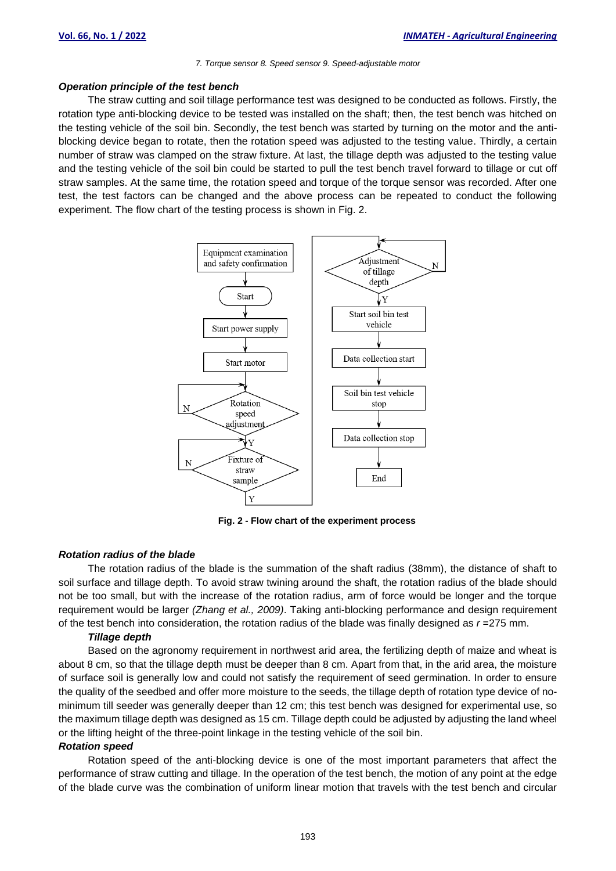#### *7. Torque sensor 8. Speed sensor 9. Speed-adjustable motor*

#### *Operation principle of the test bench*

The straw cutting and soil tillage performance test was designed to be conducted as follows. Firstly, the rotation type anti-blocking device to be tested was installed on the shaft; then, the test bench was hitched on the testing vehicle of the soil bin. Secondly, the test bench was started by turning on the motor and the antiblocking device began to rotate, then the rotation speed was adjusted to the testing value. Thirdly, a certain number of straw was clamped on the straw fixture. At last, the tillage depth was adjusted to the testing value and the testing vehicle of the soil bin could be started to pull the test bench travel forward to tillage or cut off straw samples. At the same time, the rotation speed and torque of the torque sensor was recorded. After one test, the test factors can be changed and the above process can be repeated to conduct the following experiment. The flow chart of the testing process is shown in Fig. 2.



**Fig. 2 - Flow chart of the experiment process**

#### *Rotation radius of the blade*

The rotation radius of the blade is the summation of the shaft radius (38mm), the distance of shaft to soil surface and tillage depth. To avoid straw twining around the shaft, the rotation radius of the blade should not be too small, but with the increase of the rotation radius, arm of force would be longer and the torque requirement would be larger *(Zhang et al., 2009)*. Taking anti-blocking performance and design requirement of the test bench into consideration, the rotation radius of the blade was finally designed as  $r = 275$  mm.

### *Tillage depth*

Based on the agronomy requirement in northwest arid area, the fertilizing depth of maize and wheat is about 8 cm, so that the tillage depth must be deeper than 8 cm. Apart from that, in the arid area, the moisture of surface soil is generally low and could not satisfy the requirement of seed germination. In order to ensure the quality of the seedbed and offer more moisture to the seeds, the tillage depth of rotation type device of nominimum till seeder was generally deeper than 12 cm; this test bench was designed for experimental use, so the maximum tillage depth was designed as 15 cm. Tillage depth could be adjusted by adjusting the land wheel or the lifting height of the three-point linkage in the testing vehicle of the soil bin.

#### *Rotation speed*

Rotation speed of the anti-blocking device is one of the most important parameters that affect the performance of straw cutting and tillage. In the operation of the test bench, the motion of any point at the edge of the blade curve was the combination of uniform linear motion that travels with the test bench and circular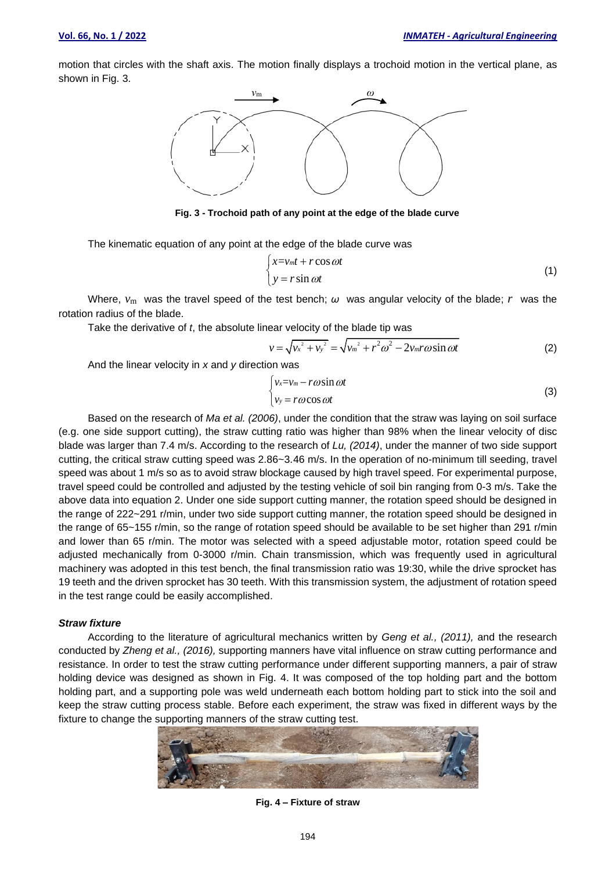motion that circles with the shaft axis. The motion finally displays a trochoid motion in the vertical plane, as shown in Fig. 3.



**Fig. 3 - Trochoid path of any point at the edge of the blade curve**

The kinematic equation of any point at the edge of the blade curve was

$$
\begin{cases}\nx = v_m t + r \cos \omega t \\
y = r \sin \omega t\n\end{cases}
$$
\n(1)

Where,  $v_m$  was the travel speed of the test bench;  $\omega$  was angular velocity of the blade; *r* was the rotation radius of the blade.

Take the derivative of *t*, the absolute linear velocity of the blade tip was  
\n
$$
v = \sqrt{v_x^2 + v_y^2} = \sqrt{v_m^2 + r^2 \omega^2 - 2v_m r \omega \sin \omega t}
$$
\n(2)

And the linear velocity in *x* and *y* direction was

$$
\begin{cases}\nv_x = v_m - r\omega \sin \omega t \\
v_y = r\omega \cos \omega t\n\end{cases}
$$
\n(3)

Based on the research of *Ma et al. (2006)*, under the condition that the straw was laying on soil surface (e.g. one side support cutting), the straw cutting ratio was higher than 98% when the linear velocity of disc blade was larger than 7.4 m/s. According to the research of *Lu, (2014)*, under the manner of two side support cutting, the critical straw cutting speed was 2.86~3.46 m/s. In the operation of no-minimum till seeding, travel speed was about 1 m/s so as to avoid straw blockage caused by high travel speed. For experimental purpose, travel speed could be controlled and adjusted by the testing vehicle of soil bin ranging from 0-3 m/s. Take the above data into equation 2. Under one side support cutting manner, the rotation speed should be designed in the range of 222~291 r/min, under two side support cutting manner, the rotation speed should be designed in the range of 65~155 r/min, so the range of rotation speed should be available to be set higher than 291 r/min and lower than 65 r/min. The motor was selected with a speed adjustable motor, rotation speed could be adjusted mechanically from 0-3000 r/min. Chain transmission, which was frequently used in agricultural machinery was adopted in this test bench, the final transmission ratio was 19:30, while the drive sprocket has 19 teeth and the driven sprocket has 30 teeth. With this transmission system, the adjustment of rotation speed in the test range could be easily accomplished. **Fig.** 4. It was considered in Fig. 4. It was composed in Fig. 4. It was considered in Fig. 4. It was considered in Fig. 4. It was considered in Fig. 4. It was considered in Fig. 4. It was composed in Fig. 4. It was compo

#### *Straw fixture*

According to the literature of agricultural mechanics written by *Geng et al., (2011),* and the research conducted by *Zheng et al., (2016),* supporting manners have vital influence on straw cutting performance and resistance. In order to test the straw cutting performance under different supporting manners, a pair of straw holding device was designed as shown in Fig. 4. It was composed of the top holding part and the bottom holding part, and a supporting pole was weld underneath each bottom holding part to stick into the soil and keep the straw cutting process stable. Before each experiment, the straw was fixed in different ways by the fixture to change the supporting manners of the straw cutting test.



Fig. 4 - Fixture of straw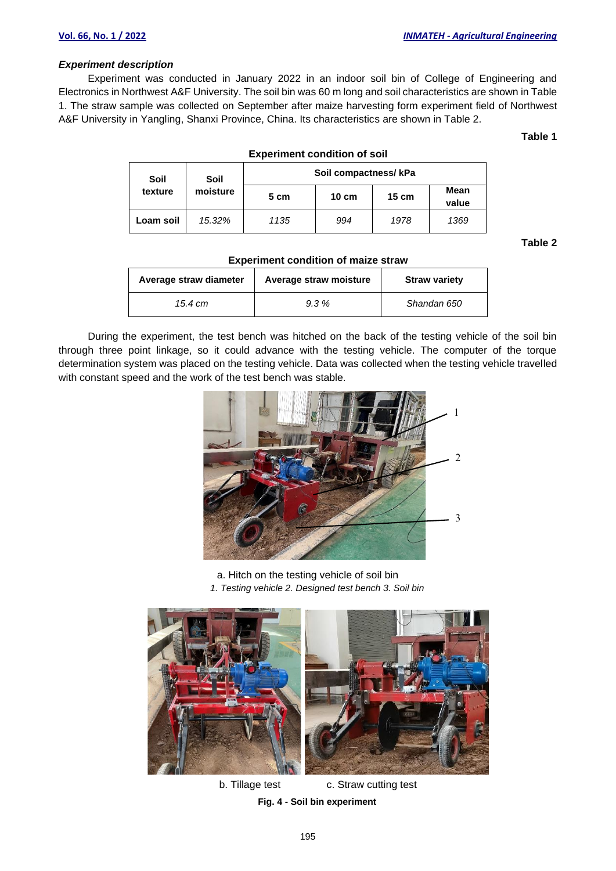## *Experiment description*

Experiment was conducted in January 2022 in an indoor soil bin of College of Engineering and Electronics in Northwest A&F University. The soil bin was 60 m long and soil characteristics are shown in Table 1. The straw sample was collected on September after maize harvesting form experiment field of Northwest A&F University in Yangling, Shanxi Province, China. Its characteristics are shown in Table 2.

**Table 1**

| <b>Experiment condition of soil</b> |                  |                       |                 |                 |               |  |
|-------------------------------------|------------------|-----------------------|-----------------|-----------------|---------------|--|
| Soil<br>texture                     | Soil<br>moisture | Soil compactness/ kPa |                 |                 |               |  |
|                                     |                  | 5 cm                  | $10 \text{ cm}$ | $15 \text{ cm}$ | Mean<br>value |  |
| Loam soil                           | 15.32%           | 1135                  | 994             | 1978            | 1369          |  |

**Table 2**

| Average straw diameter | Average straw moisture | <b>Straw variety</b> |
|------------------------|------------------------|----------------------|
| 15.4 cm                | 9.3%                   | Shandan 650          |

**Experiment condition of maize straw**

During the experiment, the test bench was hitched on the back of the testing vehicle of the soil bin through three point linkage, so it could advance with the testing vehicle. The computer of the torque determination system was placed on the testing vehicle. Data was collected when the testing vehicle travelled with constant speed and the work of the test bench was stable.



a. Hitch on the testing vehicle of soil bin *1. Testing vehicle 2. Designed test bench 3. Soil bin*



b. Tillage test c. Straw cutting test **Fig. 4 - Soil bin experiment**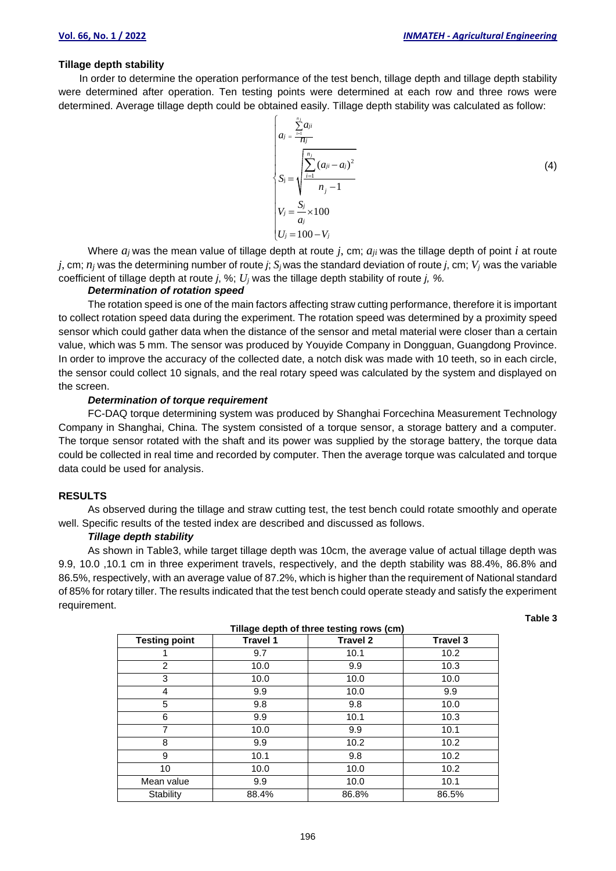# **Tillage depth stability**

In order to determine the operation performance of the test bench, tillage depth and tillage depth stability were determined after operation. Ten testing points were determined at each row and three rows were determined. Average tillage depth could be obtained easily. Tillage depth stability was calculated as follow:

$$
\begin{cases}\na_j = \frac{\sum_{i=1}^{n_j} a_{ji}}{n_j} \\
S_j = \sqrt{\frac{\sum_{i=1}^{n_j} (a_{ji} - a_j)^2}{n_j - 1}} \\
V_j = \frac{S_j}{a_j} \times 100 \\
U_j = 100 - V_j\n\end{cases}
$$
\n(4)

Where  $a_i$  was the mean value of tillage depth at route  $j$ , cm;  $a_{ii}$  was the tillage depth of point  $i$  at route *j*, cm; *n<sup>j</sup>* was the determining number of route *j*; *S<sup>j</sup>* was the standard deviation of route *j*, cm; *Vj* was the variable coefficient of tillage depth at route *j*, %; *U<sup>j</sup>* was the tillage depth stability of route *j, %.*

# *Determination of rotation speed*

The rotation speed is one of the main factors affecting straw cutting performance, therefore it is important to collect rotation speed data during the experiment. The rotation speed was determined by a proximity speed sensor which could gather data when the distance of the sensor and metal material were closer than a certain value, which was 5 mm. The sensor was produced by Youyide Company in Dongguan, Guangdong Province. In order to improve the accuracy of the collected date, a notch disk was made with 10 teeth, so in each circle, the sensor could collect 10 signals, and the real rotary speed was calculated by the system and displayed on the screen.

# *Determination of torque requirement*

FC-DAQ torque determining system was produced by Shanghai Forcechina Measurement Technology Company in Shanghai, China. The system consisted of a torque sensor, a storage battery and a computer. The torque sensor rotated with the shaft and its power was supplied by the storage battery, the torque data could be collected in real time and recorded by computer. Then the average torque was calculated and torque data could be used for analysis.

#### **RESULTS**

As observed during the tillage and straw cutting test, the test bench could rotate smoothly and operate well. Specific results of the tested index are described and discussed as follows.

## *Tillage depth stability*

As shown in Table3, while target tillage depth was 10cm, the average value of actual tillage depth was 9.9, 10.0 ,10.1 cm in three experiment travels, respectively, and the depth stability was 88.4%, 86.8% and 86.5%, respectively, with an average value of 87.2%, which is higher than the requirement of National standard of 85% for rotary tiller. The results indicated that the test bench could operate steady and satisfy the experiment requirement.

**Table 3**

| Tillage depth of three testing rows (cm) |                 |                 |                 |  |  |
|------------------------------------------|-----------------|-----------------|-----------------|--|--|
| <b>Testing point</b>                     | <b>Travel 1</b> | <b>Travel 2</b> | <b>Travel 3</b> |  |  |
|                                          | 9.7             | 10.1            | 10.2            |  |  |
| 2                                        | 10.0            | 9.9             | 10.3            |  |  |
| 3                                        | 10.0            | 10.0            | 10.0            |  |  |
| 4                                        | 9.9             | 10.0            | 9.9             |  |  |
| 5                                        | 9.8             | 9.8             | 10.0            |  |  |
| 6                                        | 9.9             | 10.1            | 10.3            |  |  |
| $\overline{7}$                           | 10.0            | 9.9             | 10.1            |  |  |
| 8                                        | 9.9             | 10.2            | 10.2            |  |  |
| 9                                        | 10.1            | 9.8             | 10.2            |  |  |
| 10                                       | 10.0            | 10.0            | 10.2            |  |  |
| Mean value                               | 9.9             | 10.0            | 10.1            |  |  |
| Stability                                | 88.4%           | 86.8%           | 86.5%           |  |  |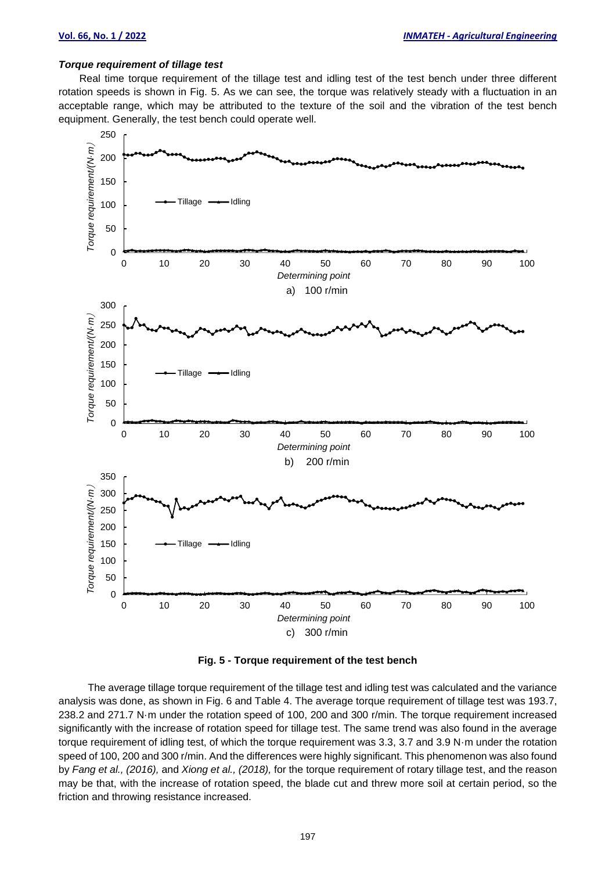#### *Torque requirement of tillage test*

Real time torque requirement of the tillage test and idling test of the test bench under three different rotation speeds is shown in Fig. 5. As we can see, the torque was relatively steady with a fluctuation in an acceptable range, which may be attributed to the texture of the soil and the vibration of the test bench equipment. Generally, the test bench could operate well.



**Fig. 5 - Torque requirement of the test bench**

The average tillage torque requirement of the tillage test and idling test was calculated and the variance analysis was done, as shown in Fig. 6 and Table 4. The average torque requirement of tillage test was 193.7, 238.2 and 271.7 N·m under the rotation speed of 100, 200 and 300 r/min. The torque requirement increased significantly with the increase of rotation speed for tillage test. The same trend was also found in the average torque requirement of idling test, of which the torque requirement was 3.3, 3.7 and 3.9 N·m under the rotation speed of 100, 200 and 300 r/min. And the differences were highly significant. This phenomenon was also found by *Fang et al., (2016),* and *Xiong et al., (2018),* for the torque requirement of rotary tillage test, and the reason may be that, with the increase of rotation speed, the blade cut and threw more soil at certain period, so the friction and throwing resistance increased.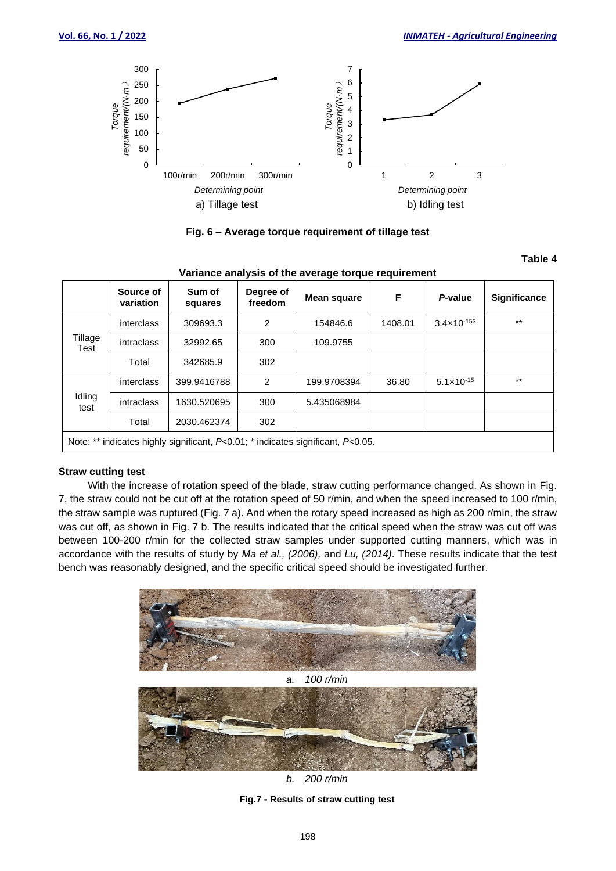

**Fig. 6 – Average torque requirement of tillage test**

# **Table 4**

| <u>rananoc anaryois or the average torque requirement</u>                             |                        |                   |                      |             |         |                        |                     |
|---------------------------------------------------------------------------------------|------------------------|-------------------|----------------------|-------------|---------|------------------------|---------------------|
|                                                                                       | Source of<br>variation | Sum of<br>squares | Degree of<br>freedom | Mean square | F       | P-value                | <b>Significance</b> |
| Tillage<br>Test                                                                       | interclass             | 309693.3          | 2                    | 154846.6    | 1408.01 | $3.4 \times 10^{-153}$ | $***$               |
|                                                                                       | <i>intraclass</i>      | 32992.65          | 300                  | 109.9755    |         |                        |                     |
|                                                                                       | Total                  | 342685.9          | 302                  |             |         |                        |                     |
| Idling<br>test                                                                        | interclass             | 399.9416788       | $\overline{2}$       | 199.9708394 | 36.80   | $5.1 \times 10^{-15}$  | $***$               |
|                                                                                       | intraclass             | 1630.520695       | 300                  | 5.435068984 |         |                        |                     |
|                                                                                       | Total                  | 2030.462374       | 302                  |             |         |                        |                     |
| Note: ** indicates highly significant, $P<0.01$ ; * indicates significant, $P<0.05$ . |                        |                   |                      |             |         |                        |                     |

## **Variance analysis of the average torque requirement**

# **Straw cutting test**

With the increase of rotation speed of the blade, straw cutting performance changed. As shown in Fig. 7, the straw could not be cut off at the rotation speed of 50 r/min, and when the speed increased to 100 r/min, the straw sample was ruptured (Fig. 7 a). And when the rotary speed increased as high as 200 r/min, the straw was cut off, as shown in Fig. 7 b. The results indicated that the critical speed when the straw was cut off was between 100-200 r/min for the collected straw samples under supported cutting manners, which was in accordance with the results of study by *Ma et al., (2006),* and *Lu, (2014)*. These results indicate that the test bench was reasonably designed, and the specific critical speed should be investigated further.





**Fig.7 - Results of straw cutting test**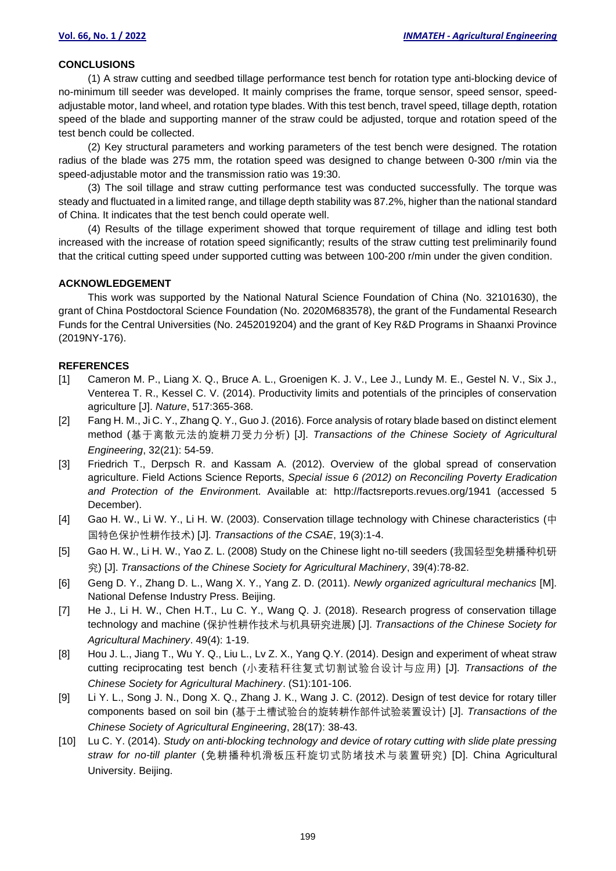#### **CONCLUSIONS**

(1) A straw cutting and seedbed tillage performance test bench for rotation type anti-blocking device of no-minimum till seeder was developed. It mainly comprises the frame, torque sensor, speed sensor, speedadjustable motor, land wheel, and rotation type blades. With this test bench, travel speed, tillage depth, rotation speed of the blade and supporting manner of the straw could be adjusted, torque and rotation speed of the test bench could be collected.

(2) Key structural parameters and working parameters of the test bench were designed. The rotation radius of the blade was 275 mm, the rotation speed was designed to change between 0-300 r/min via the speed-adjustable motor and the transmission ratio was 19:30.

(3) The soil tillage and straw cutting performance test was conducted successfully. The torque was steady and fluctuated in a limited range, and tillage depth stability was 87.2%, higher than the national standard of China. It indicates that the test bench could operate well.

(4) Results of the tillage experiment showed that torque requirement of tillage and idling test both increased with the increase of rotation speed significantly; results of the straw cutting test preliminarily found that the critical cutting speed under supported cutting was between 100-200 r/min under the given condition.

#### **ACKNOWLEDGEMENT**

This work was supported by the National Natural Science Foundation of China (No. 32101630), the grant of China Postdoctoral Science Foundation (No. 2020M683578), the grant of the Fundamental Research Funds for the Central Universities (No. 2452019204) and the grant of Key R&D Programs in Shaanxi Province (2019NY-176).

#### **REFERENCES**

- [1] Cameron M. P., Liang X. Q., Bruce A. L., Groenigen K. J. V., Lee J., Lundy M. E., Gestel N. V., Six J., Venterea T. R., Kessel C. V. (2014). Productivity limits and potentials of the principles of conservation agriculture [J]. *Nature*, 517:365-368.
- [2] Fang H. M., Ji C. Y., Zhang Q. Y., Guo J. (2016). Force analysis of rotary blade based on distinct element method (基于离散元法的旋耕刀受力分析) [J]. *Transactions of the Chinese Society of Agricultural Engineering*, 32(21): 54-59.
- [3] Friedrich T., Derpsch R. and Kassam A. (2012). Overview of the global spread of conservation agriculture. Field Actions Science Reports, *Special issue 6 (2012) on Reconciling Poverty Eradication and Protection of the Environmen*t. Available at: http://factsreports.revues.org/1941 (accessed 5 December).
- [4] Gao H. W., Li W. Y., Li H. W. (2003). Conservation tillage technology with Chinese characteristics (中 国特色保护性耕作技术) [J]. *Transactions of the CSAE*, 19(3):1-4.
- [5] Gao H. W., Li H. W., Yao Z. L. (2008) Study on the Chinese light no-till seeders (我国轻型免耕播种机研 究) [J]. *Transactions of the Chinese Society for Agricultural Machinery*, 39(4):78-82.
- [6] Geng D. Y., Zhang D. L., Wang X. Y., Yang Z. D. (2011). *Newly organized agricultural mechanics* [M]. National Defense Industry Press. Beijing.
- [7] He J., Li H. W., Chen H.T., Lu C. Y., Wang Q. J. (2018). Research progress of conservation tillage technology and machine (保护性耕作技术与机具研究进展) [J]. *Transactions of the Chinese Society for Agricultural Machinery*. 49(4): 1-19.
- [8] Hou J. L., Jiang T., Wu Y. Q., Liu L., Lv Z. X., Yang Q.Y. (2014). Design and experiment of wheat straw cutting reciprocating test bench (小麦秸秆往复式切割试验台设计与应用) [J]. *Transactions of the Chinese Society for Agricultural Machinery*. (S1):101-106.
- [9] Li Y. L., Song J. N., Dong X. Q., Zhang J. K., Wang J. C. (2012). Design of test device for rotary tiller components based on soil bin (基于土槽试验台的旋转耕作部件试验装置设计) [J]. *Transactions of the Chinese Society of Agricultural Engineering*, 28(17): 38-43.
- [10] Lu C. Y. (2014). *Study on anti-blocking technology and device of rotary cutting with slide plate pressing straw for no-till planter* (免耕播种机滑板压秆旋切式防堵技术与装置研究) [D]. China Agricultural University. Beijing.